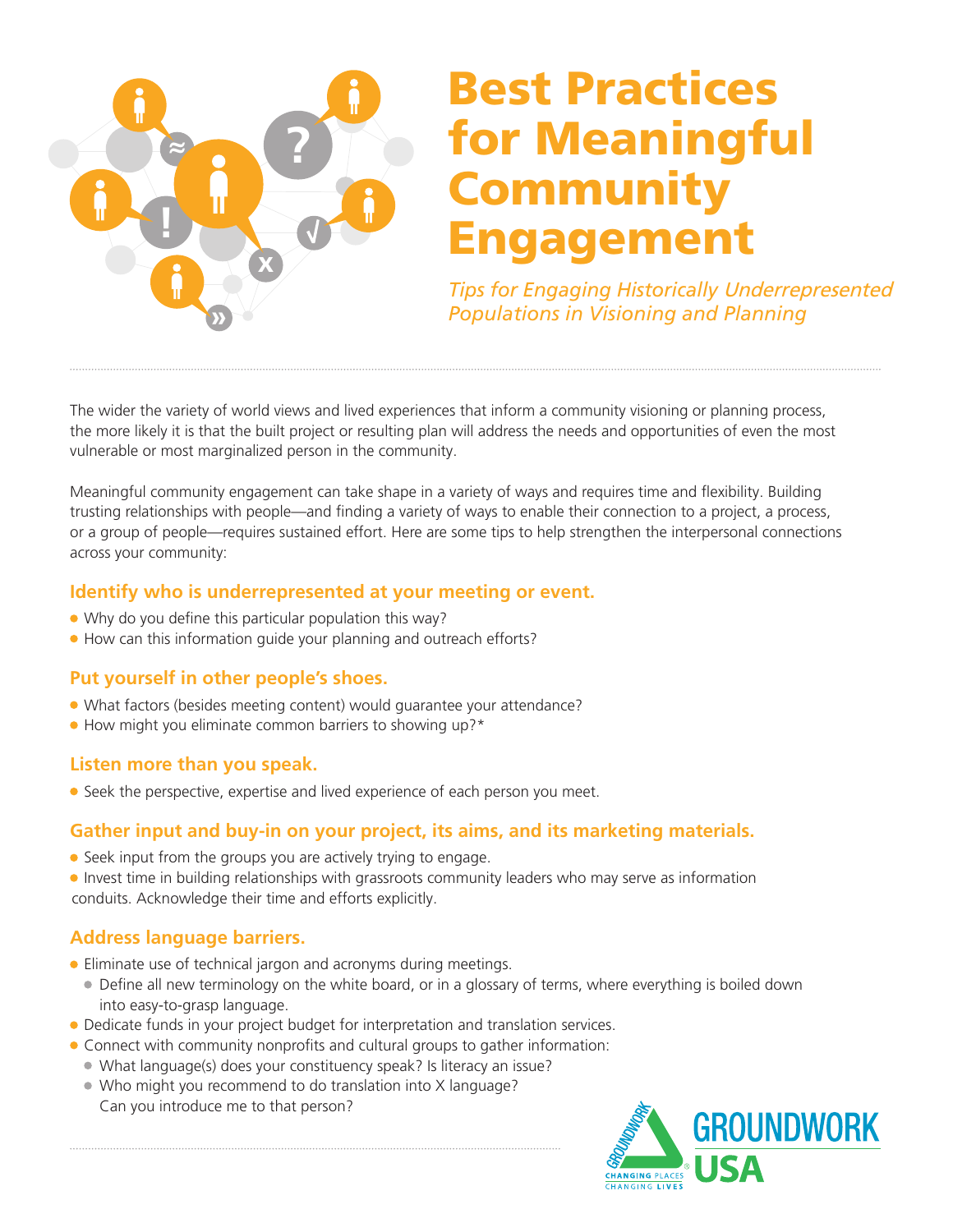

# Best Practices for Meaningful Community Engagement

*Tips for Engaging Historically* Underrepresented *Populations in Visioning and Planning* 

The wider the variety of world views and lived experiences that inform a community visioning or planning process, the more likely it is that the built project or resulting plan will address the needs and opportunities of even the most vulnerable or most marginalized person in the community.

Meaningful community engagement can take shape in a variety of ways and requires time and flexibility. Building trusting relationships with people—and finding a variety of ways to enable their connection to a project, a process, or a group of people—requires sustained effort. Here are some tips to help strengthen the interpersonal connections across your community:

#### **Identify who is underrepresented at your meeting or event.**

- Why do you define this particular population this way?
- How can this information guide your planning and outreach efforts?

# **Put yourself in other people's shoes.**

- What factors (besides meeting content) would guarantee your attendance?
- How might you eliminate common barriers to showing up?\*

#### **Listen more than you speak.**

● Seek the perspective, expertise and lived experience of each person you meet.

# **Gather input and buy-in on your project, its aims, and its marketing materials.**

- Seek input from the groups you are actively trying to engage.
- Invest time in building relationships with grassroots community leaders who may serve as information conduits. Acknowledge their time and efforts explicitly.

# **Address language barriers.**

- Eliminate use of technical jargon and acronyms during meetings.
	- Define all new terminology on the white board, or in a glossary of terms, where everything is boiled down into easy-to-grasp language.
- Dedicate funds in your project budget for interpretation and translation services.
- Connect with community nonprofits and cultural groups to gather information:
	- What language(s) does your constituency speak? Is literacy an issue?
	- Who might you recommend to do translation into X language? Can you introduce me to that person?

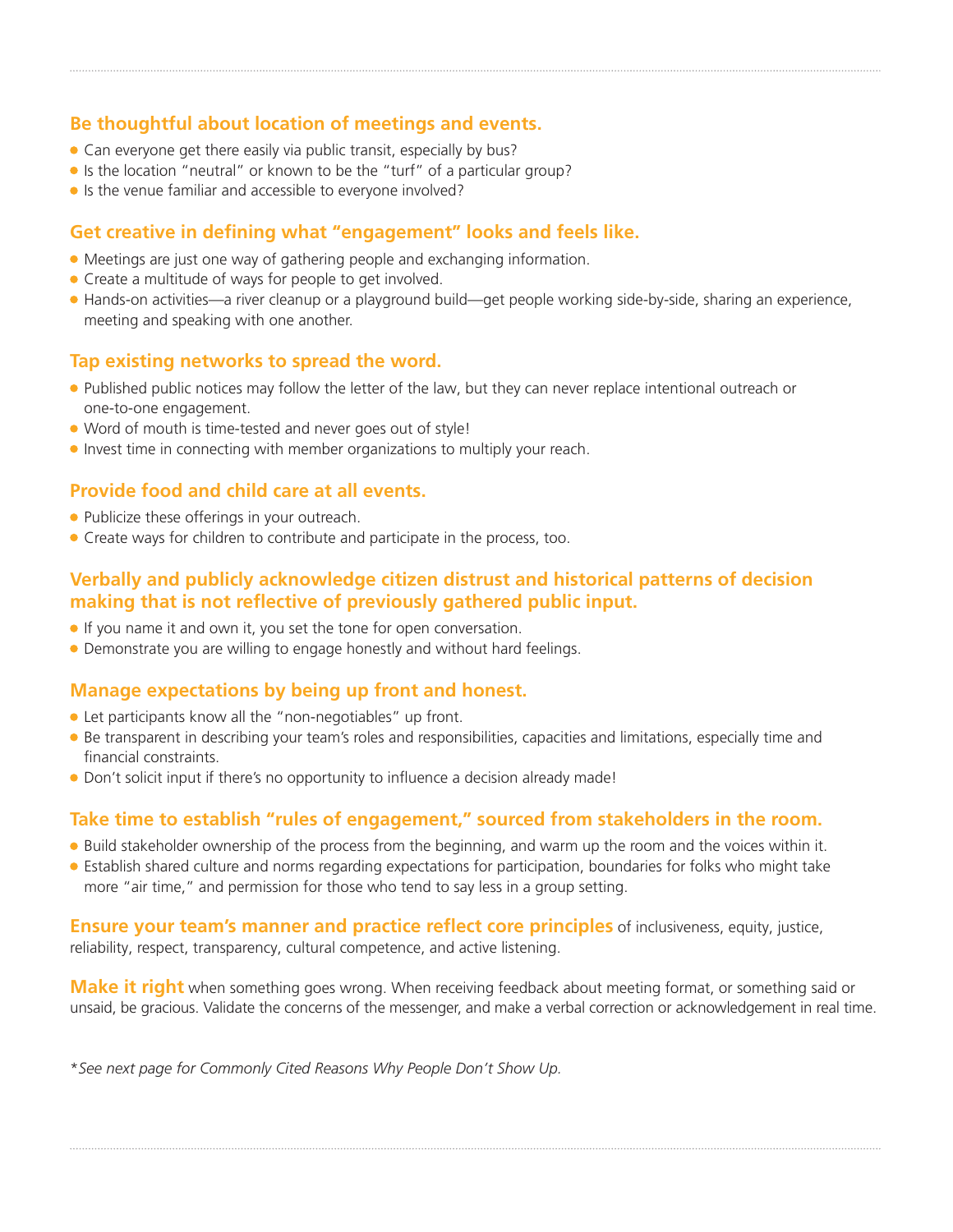### **Be thoughtful about location of meetings and events.**

- Can everyone get there easily via public transit, especially by bus?
- If is the location "neutral" or known to be the "turf" of a particular group?
- Is the venue familiar and accessible to everyone involved?

#### **Get creative in defining what "engagement" looks and feels like.**

- Meetings are just one way of gathering people and exchanging information.
- Create a multitude of ways for people to get involved.
- Hands-on activities—a river cleanup or a playground build—get people working side-by-side, sharing an experience, meeting and speaking with one another.

#### **Tap existing networks to spread the word.**

- Published public notices may follow the letter of the law, but they can never replace intentional outreach or one-to-one engagement.
- Word of mouth is time-tested and never goes out of style!
- Invest time in connecting with member organizations to multiply your reach.

#### **Provide food and child care at all events.**

- Publicize these offerings in your outreach.
- **Create ways for children to contribute and participate in the process, too.**

### **Verbally and publicly acknowledge citizen distrust and historical patterns of decision making that is not reflective of previously gathered public input.**

- If you name it and own it, you set the tone for open conversation.
- Demonstrate you are willing to engage honestly and without hard feelings.

#### **Manage expectations by being up front and honest.**

- Let participants know all the "non-negotiables" up front.
- Be transparent in describing your team's roles and responsibilities, capacities and limitations, especially time and financial constraints.
- Don't solicit input if there's no opportunity to influence a decision already made!

# **Take time to establish "rules of engagement," sourced from stakeholders in the room.**

- Build stakeholder ownership of the process from the beginning, and warm up the room and the voices within it.
- Establish shared culture and norms regarding expectations for participation, boundaries for folks who might take more "air time," and permission for those who tend to say less in a group setting.

**Ensure your team's manner and practice reflect core principles** of inclusiveness, equity, justice, reliability, respect, transparency, cultural competence, and active listening.

**Make it right** when something goes wrong. When receiving feedback about meeting format, or something said or unsaid, be gracious. Validate the concerns of the messenger, and make a verbal correction or acknowledgement in real time.

\**See next page for Commonly Cited Reasons Why People Don't Show Up.*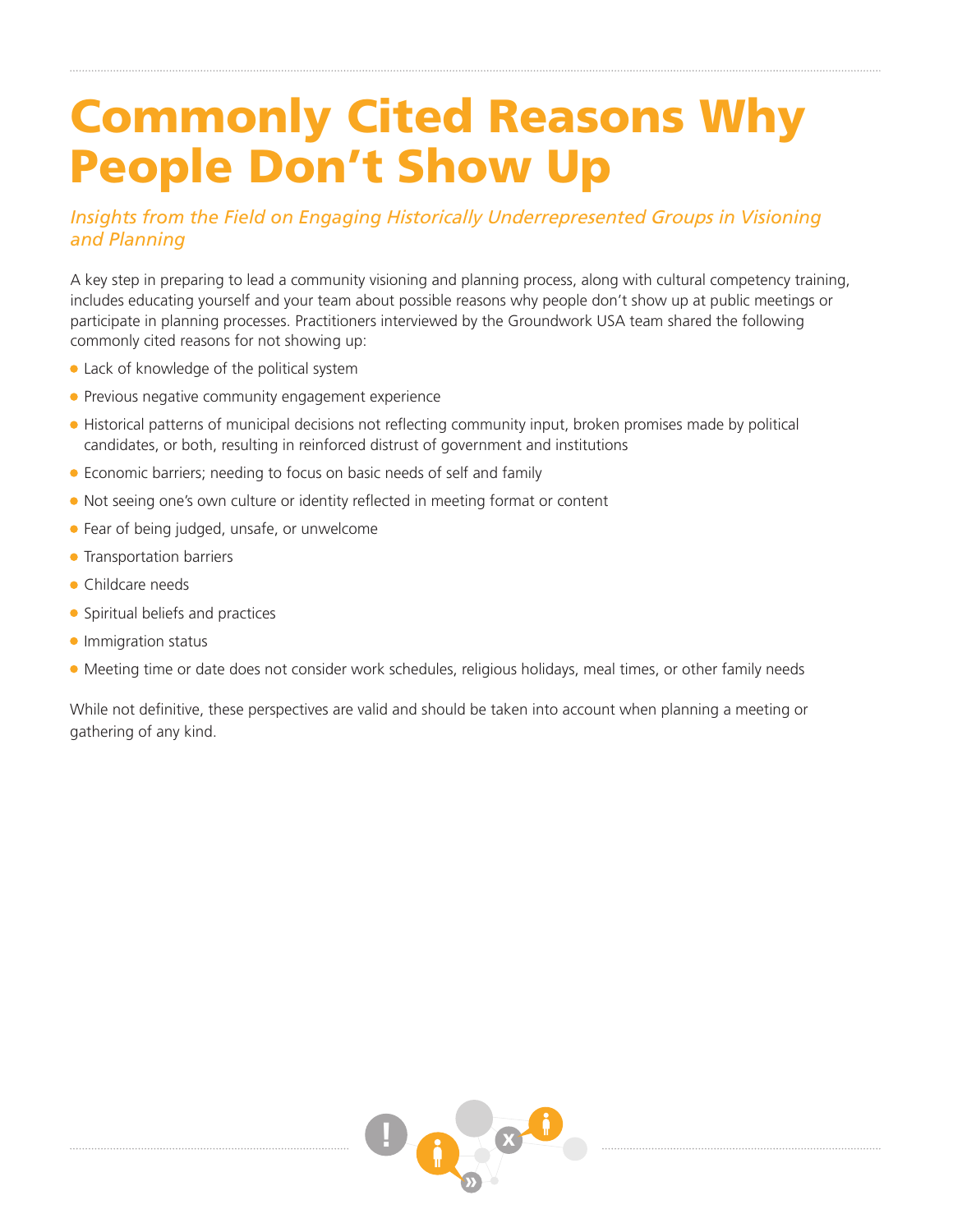# Commonly Cited Reasons Why People Don't Show Up

# *Insights from the Field on Engaging* Historically Underrepresent*ed* Groups *in Visioning and Planning*

A key step in preparing to lead a community visioning and planning process, along with cultural competency training, includes educating yourself and your team about possible reasons why people don't show up at public meetings or participate in planning processes. Practitioners interviewed by the Groundwork USA team shared the following commonly cited reasons for not showing up:

- Lack of knowledge of the political system
- **Previous negative community engagement experience**
- Historical patterns of municipal decisions not reflecting community input, broken promises made by political candidates, or both, resulting in reinforced distrust of government and institutions
- Economic barriers; needing to focus on basic needs of self and family
- Not seeing one's own culture or identity reflected in meeting format or content
- **•** Fear of being judged, unsafe, or unwelcome
- **Transportation barriers**
- Childcare needs
- Spiritual beliefs and practices
- **Immigration status**
- Meeting time or date does not consider work schedules, religious holidays, meal times, or other family needs

While not definitive, these perspectives are valid and should be taken into account when planning a meeting or gathering of any kind.